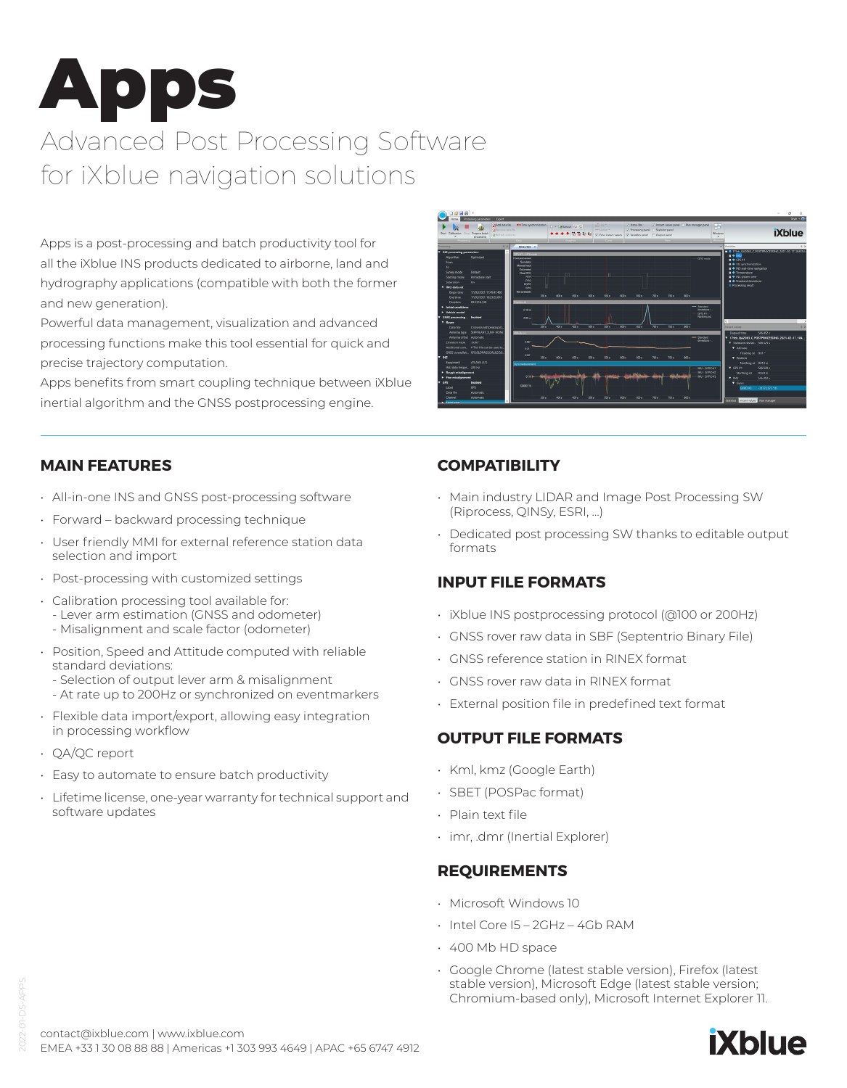# Apps

# Advanced Post Processing Software for iXblue navigation solutions

Apps is a post-processing and batch productivity tool for all the iXblue INS products dedicated to airborne, land and hydrography applications (compatible with both the former and new generation).

Powerful data management, visualization and advanced processing functions make this tool essential for quick and precise trajectory computation.

Apps benefits from smart coupling technique between iXblue inertial algorithm and the GNSS postprocessing engine.



# **MAIN FEATURES**

- All-in-one INS and GNSS post-processing software
- Forward backward processing technique
- User friendly MMI for external reference station data selection and import
- Post-processing with customized settings
- Calibration processing tool available for:
- Lever arm estimation (GNSS and odometer)
- Misalignment and scale factor (odometer)
- Position, Speed and Attitude computed with reliable standard deviations:
	- Selection of output lever arm & misalignment
- At rate up to 200Hz or synchronized on eventmarkers
- Flexible data import/export, allowing easy integration in processing workflow
- QA/QC report
- Easy to automate to ensure batch productivity
- Lifetime license, one-year warranty for technical support and software updates

# **COMPATIBILITY**

- Main industry LIDAR and Image Post Processing SW (Riprocess, QINSy, ESRI, …)
- Dedicated post processing SW thanks to editable output formats

# **INPUT FILE FORMATS**

- iXblue INS postprocessing protocol (@100 or 200Hz)
- GNSS rover raw data in SBF (Septentrio Binary File)
- GNSS reference station in RINEX format
- GNSS rover raw data in RINEX format
- External position file in predefined text format

#### **OUTPUT FILE FORMATS**

- Kml, kmz (Google Earth)
- SBET (POSPac format)
- Plain text file
- imr, .dmr (Inertial Explorer)

# **REQUIREMENTS**

- Microsoft Windows 10
- Intel Core I5 2GHz 4Gb RAM
- 400 Mb HD space
- Google Chrome (latest stable version), Firefox (latest stable version), Microsoft Edge (latest stable version; Chromium-based only), Microsoft Internet Explorer 11.